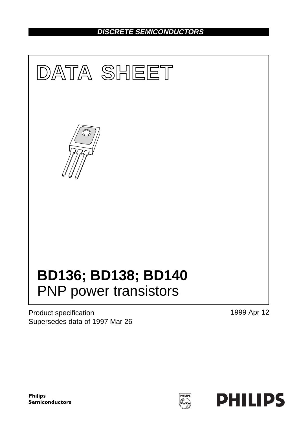## **DISCRETE SEMICONDUCTORS**



Product specification Supersedes data of 1997 Mar 26 1999 Apr 12

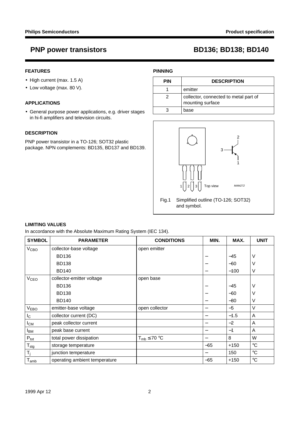## **FEATURES**

- High current (max. 1.5 A)
- Low voltage (max. 80 V).

### **APPLICATIONS**

• General purpose power applications, e.g. driver stages in hi-fi amplifiers and television circuits.

### **DESCRIPTION**

PNP power transistor in a TO-126; SOT32 plastic package. NPN complements: BD135, BD137 and BD139.

## **PINNING**

| <b>PIN</b> | <b>DESCRIPTION</b>                                        |
|------------|-----------------------------------------------------------|
|            | emitter                                                   |
|            | collector, connected to metal part of<br>mounting surface |
|            | base                                                      |



### **LIMITING VALUES**

In accordance with the Absolute Maximum Rating System (IEC 134).

| <b>SYMBOL</b>    | <b>PARAMETER</b>              | <b>CONDITIONS</b>   | MIN.  | MAX.   | <b>UNIT</b>       |
|------------------|-------------------------------|---------------------|-------|--------|-------------------|
| V <sub>CBO</sub> | collector-base voltage        | open emitter        |       |        |                   |
|                  | <b>BD136</b>                  |                     |       | $-45$  | ٧                 |
|                  | <b>BD138</b>                  |                     |       | $-60$  | ٧                 |
|                  | <b>BD140</b>                  |                     |       | $-100$ | ٧                 |
| V <sub>CEO</sub> | collector-emitter voltage     | open base           |       |        |                   |
|                  | <b>BD136</b>                  |                     |       | $-45$  | ٧                 |
|                  | <b>BD138</b>                  |                     |       | $-60$  | V                 |
|                  | <b>BD140</b>                  |                     |       | $-80$  | ٧                 |
| V <sub>EBO</sub> | emitter-base voltage          | open collector      |       | $-5$   | V                 |
| $I_{\rm C}$      | collector current (DC)        |                     |       | $-1.5$ | A                 |
| $I_{CM}$         | peak collector current        |                     | —     | $-2$   | A                 |
| $I_{BM}$         | peak base current             |                     |       | $-1$   | A                 |
| $P_{\text{tot}}$ | total power dissipation       | $T_{mb} \leq 70$ °C |       | 8      | W                 |
| $T_{\text{stg}}$ | storage temperature           |                     | $-65$ | +150   | $^\circ \text{C}$ |
| $T_j$            | junction temperature          |                     |       | 150    | $^\circ \text{C}$ |
| $T_{amb}$        | operating ambient temperature |                     | -65   | $+150$ | $^\circ \text{C}$ |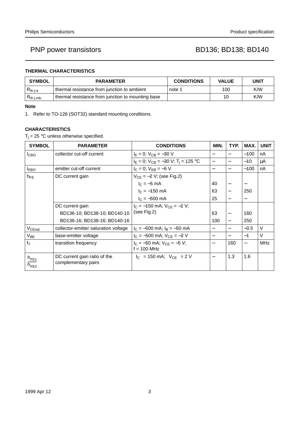## **THERMAL CHARACTERISTICS**

| <b>SYMBOL</b>  | <b>PARAMETER</b>                                  | <b>CONDITIONS</b> | <b>VALUE</b> | UNIT |
|----------------|---------------------------------------------------|-------------------|--------------|------|
| $R_{th\,j-a}$  | thermal resistance from junction to ambient       | note 1            | 100          | K/W  |
| $R_{th\ j-mb}$ | thermal resistance from junction to mounting base |                   | 10           | K/W  |

## **Note**

1. Refer to TO-126 (SOT32) standard mounting conditions.

### **CHARACTERISTICS**

 $T_i = 25$  °C unless otherwise specified.

| <b>SYMBOL</b>          | <b>PARAMETER</b>                                    | <b>CONDITIONS</b>                            | MIN.                     | TYP.                     | MAX.                     | <b>UNIT</b> |
|------------------------|-----------------------------------------------------|----------------------------------------------|--------------------------|--------------------------|--------------------------|-------------|
| I <sub>CBO</sub>       | collector cut-off current                           | $I_E = 0$ ; $V_{CB} = -30$ V                 | —                        |                          | $-100$                   | nA          |
|                        |                                                     | $I_E = 0$ ; $V_{CB} = -30$ V; $T_i = 125$ °C | $\overline{\phantom{0}}$ |                          | $-10$                    | μA          |
| <b>IEBO</b>            | emitter cut-off current                             | $I_C = 0$ ; $V_{EB} = -5$ V                  | $\overline{\phantom{m}}$ |                          | $-100$                   | nA          |
| $h_{FE}$               | DC current gain                                     | $V_{CE} = -2 V$ ; (see Fig.2)                |                          |                          |                          |             |
|                        |                                                     | $I_C = -5$ mA                                | 40                       |                          |                          |             |
|                        |                                                     | $I_C = -150$ mA                              | 63                       |                          | 250                      |             |
|                        |                                                     | $I_C = -500$ mA                              | 25                       | $\overline{\phantom{0}}$ |                          |             |
|                        | DC current gain                                     | $I_C = -150$ mA; $V_{CF} = -2$ V;            |                          |                          |                          |             |
|                        | BD136-10; BD138-10; BD140-10                        | (see Fig.2)                                  | 63                       |                          | 160                      |             |
|                        | BD136-16; BD138-16; BD140-16                        |                                              | 100                      | $\overline{\phantom{0}}$ | 250                      |             |
| V <sub>CEsat</sub>     | collector-emitter saturation voltage                | $I_C = -500$ mA; $I_B = -50$ mA              | $\overline{\phantom{0}}$ |                          | $-0.5$                   | $\vee$      |
| $V_{BE}$               | base-emitter voltage                                | $I_C = -500$ mA; $V_{CE} = -2$ V             | —                        |                          | $-1$                     | $\vee$      |
| $f_T$                  | transition frequency                                | $I_C = -50$ mA; $V_{CF} = -5$ V;             | $\overline{\phantom{0}}$ | 160                      | $\overline{\phantom{0}}$ | MHz         |
|                        |                                                     | $f = 100$ MHz                                |                          |                          |                          |             |
| $h_{FE1}$<br>$h_{FE2}$ | DC current gain ratio of the<br>complementary pairs | $ I_C $ = 150 mA; $ V_{CF} $ = 2 V           |                          | 1.3                      | 1.6                      |             |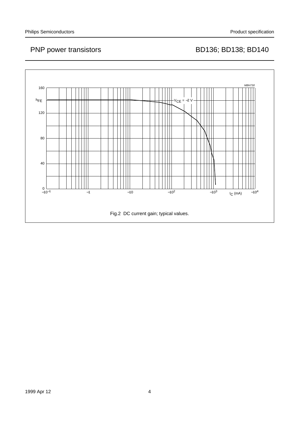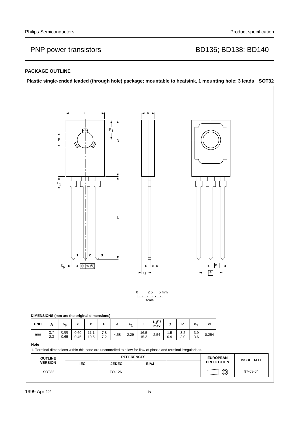### **PACKAGE OUTLINE**

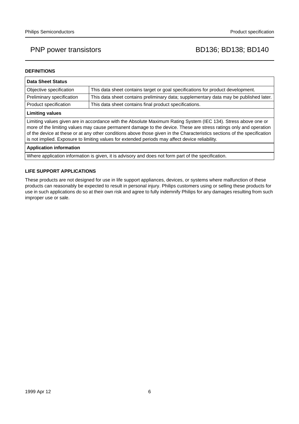### **DEFINITIONS**

| <b>Data Sheet Status</b>                                                                                                                                                                                                                                                                                                                                                                                                                                           |                                                                                       |  |  |
|--------------------------------------------------------------------------------------------------------------------------------------------------------------------------------------------------------------------------------------------------------------------------------------------------------------------------------------------------------------------------------------------------------------------------------------------------------------------|---------------------------------------------------------------------------------------|--|--|
| Objective specification                                                                                                                                                                                                                                                                                                                                                                                                                                            | This data sheet contains target or goal specifications for product development.       |  |  |
| Preliminary specification                                                                                                                                                                                                                                                                                                                                                                                                                                          | This data sheet contains preliminary data; supplementary data may be published later. |  |  |
| Product specification                                                                                                                                                                                                                                                                                                                                                                                                                                              | This data sheet contains final product specifications.                                |  |  |
| <b>Limiting values</b>                                                                                                                                                                                                                                                                                                                                                                                                                                             |                                                                                       |  |  |
| Limiting values given are in accordance with the Absolute Maximum Rating System (IEC 134). Stress above one or<br>more of the limiting values may cause permanent damage to the device. These are stress ratings only and operation<br>of the device at these or at any other conditions above those given in the Characteristics sections of the specification<br>is not implied. Exposure to limiting values for extended periods may affect device reliability. |                                                                                       |  |  |

## **Application information**

Where application information is given, it is advisory and does not form part of the specification.

### **LIFE SUPPORT APPLICATIONS**

These products are not designed for use in life support appliances, devices, or systems where malfunction of these products can reasonably be expected to result in personal injury. Philips customers using or selling these products for use in such applications do so at their own risk and agree to fully indemnify Philips for any damages resulting from such improper use or sale.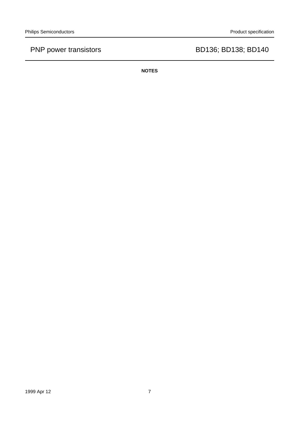**NOTES**